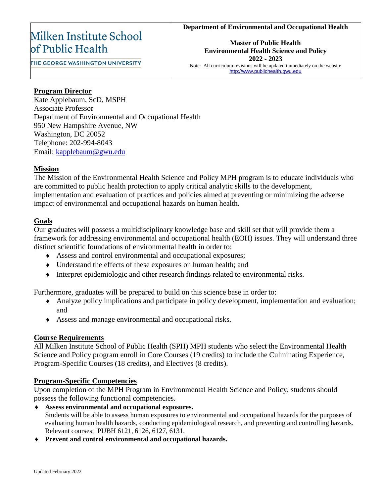#### **Department of Environmental and Occupational Health**

## Milken Institute School of Public Health

THE GEORGE WASHINGTON UNIVERSITY

**Master of Public Health Environmental Health Science and Policy 2022 - 2023** Note: All curriculum revisions will be updated immediately on the website [http://www.publichealth.gwu.edu](http://www.publichealth.gwu.edu/)

## **Program Director**

Kate Applebaum, ScD, MSPH Associate Professor Department of Environmental and Occupational Health 950 New Hampshire Avenue, NW Washington, DC 20052 Telephone: 202-994-8043 Email: [kapplebaum@gwu.edu](mailto:kapplebaum@gwu.edu)

## **Mission**

The Mission of the Environmental Health Science and Policy MPH program is to educate individuals who are committed to public health protection to apply critical analytic skills to the development, implementation and evaluation of practices and policies aimed at preventing or minimizing the adverse impact of environmental and occupational hazards on human health.

## **Goals**

Our graduates will possess a multidisciplinary knowledge base and skill set that will provide them a framework for addressing environmental and occupational health (EOH) issues. They will understand three distinct scientific foundations of environmental health in order to:

- Assess and control environmental and occupational exposures;
- Understand the effects of these exposures on human health; and
- Interpret epidemiologic and other research findings related to environmental risks.

Furthermore, graduates will be prepared to build on this science base in order to:

- Analyze policy implications and participate in policy development, implementation and evaluation; and
- Assess and manage environmental and occupational risks.

## **Course Requirements**

All Milken Institute School of Public Health (SPH) MPH students who select the Environmental Health Science and Policy program enroll in Core Courses (19 credits) to include the Culminating Experience, Program-Specific Courses (18 credits), and Electives (8 credits).

## **Program-Specific Competencies**

Upon completion of the MPH Program in Environmental Health Science and Policy, students should possess the following functional competencies.

- **Assess environmental and occupational exposures.** Students will be able to assess human exposures to environmental and occupational hazards for the purposes of evaluating human health hazards, conducting epidemiological research, and preventing and controlling hazards. Relevant courses: PUBH 6121, 6126, 6127, 6131.
- **Prevent and control environmental and occupational hazards.**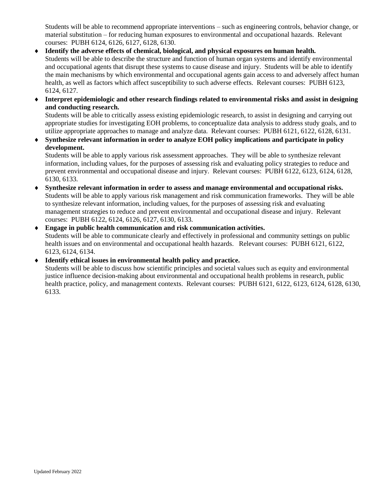Students will be able to recommend appropriate interventions – such as engineering controls, behavior change, or material substitution – for reducing human exposures to environmental and occupational hazards. Relevant courses: PUBH 6124, 6126, 6127, 6128, 6130.

- **Identify the adverse effects of chemical, biological, and physical exposures on human health.**  Students will be able to describe the structure and function of human organ systems and identify environmental and occupational agents that disrupt these systems to cause disease and injury. Students will be able to identify the main mechanisms by which environmental and occupational agents gain access to and adversely affect human health, as well as factors which affect susceptibility to such adverse effects. Relevant courses: PUBH 6123, 6124, 6127.
- **Interpret epidemiologic and other research findings related to environmental risks and assist in designing and conducting research.**

Students will be able to critically assess existing epidemiologic research, to assist in designing and carrying out appropriate studies for investigating EOH problems, to conceptualize data analysis to address study goals, and to utilize appropriate approaches to manage and analyze data. Relevant courses: PUBH 6121, 6122, 6128, 6131.

 **Synthesize relevant information in order to analyze EOH policy implications and participate in policy development.**

Students will be able to apply various risk assessment approaches. They will be able to synthesize relevant information, including values, for the purposes of assessing risk and evaluating policy strategies to reduce and prevent environmental and occupational disease and injury. Relevant courses: PUBH 6122, 6123, 6124, 6128, 6130, 6133.

- **Synthesize relevant information in order to assess and manage environmental and occupational risks.** Students will be able to apply various risk management and risk communication frameworks. They will be able to synthesize relevant information, including values, for the purposes of assessing risk and evaluating management strategies to reduce and prevent environmental and occupational disease and injury. Relevant courses: PUBH 6122, 6124, 6126, 6127, 6130, 6133.
- **Engage in public health communication and risk communication activities.**  Students will be able to communicate clearly and effectively in professional and community settings on public health issues and on environmental and occupational health hazards. Relevant courses: PUBH 6121, 6122, 6123, 6124, 6134.

## **Identify ethical issues in environmental health policy and practice.**

Students will be able to discuss how scientific principles and societal values such as equity and environmental justice influence decision-making about environmental and occupational health problems in research, public health practice, policy, and management contexts. Relevant courses: PUBH 6121, 6122, 6123, 6124, 6128, 6130, 6133.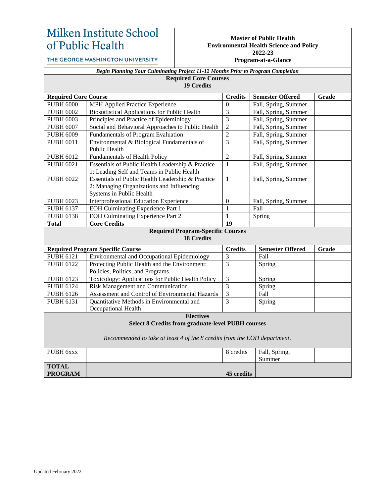## Milken Institute School of Public Health

#### **Master of Public Health Environmental Health Science and Policy 2022-23 Program-at-a-Glance**

THE GEORGE WASHINGTON UNIVERSITY

| Begin Planning Your Culminating Project 11-12 Months Prior to Program Completion |                              |  |  |  |
|----------------------------------------------------------------------------------|------------------------------|--|--|--|
|                                                                                  | <b>Required Core Courses</b> |  |  |  |

#### **19 Credits**

| <b>Required Core Course</b>             |                                                                                                                                                          | <b>Credits</b>           | <b>Semester Offered</b> | Grade |
|-----------------------------------------|----------------------------------------------------------------------------------------------------------------------------------------------------------|--------------------------|-------------------------|-------|
| <b>PUBH 6000</b>                        | MPH Applied Practice Experience                                                                                                                          | $\boldsymbol{0}$         | Fall, Spring, Summer    |       |
| <b>PUBH 6002</b>                        | <b>Biostatistical Applications for Public Health</b>                                                                                                     | 3                        | Fall, Spring, Summer    |       |
| <b>PUBH 6003</b>                        | Principles and Practice of Epidemiology                                                                                                                  | $\overline{3}$           | Fall, Spring, Summer    |       |
| <b>PUBH 6007</b>                        | Social and Behavioral Approaches to Public Health                                                                                                        | $\overline{c}$           | Fall, Spring, Summer    |       |
| <b>PUBH 6009</b>                        | Fundamentals of Program Evaluation                                                                                                                       | $\overline{2}$           | Fall, Spring, Summer    |       |
| <b>PUBH 6011</b>                        | Environmental & Biological Fundamentals of<br><b>Public Health</b>                                                                                       | $\overline{3}$           | Fall, Spring, Summer    |       |
| <b>PUBH 6012</b>                        | Fundamentals of Health Policy                                                                                                                            | $\overline{2}$           | Fall, Spring, Summer    |       |
| <b>PUBH 6021</b>                        | Essentials of Public Health Leadership & Practice<br>1: Leading Self and Teams in Public Health                                                          | $\mathbf{1}$             | Fall, Spring, Summer    |       |
| <b>PUBH 6022</b>                        | Essentials of Public Health Leadership & Practice<br>2: Managing Organizations and Influencing<br>Systems in Public Health                               | $\mathbf{1}$             | Fall, Spring, Summer    |       |
| <b>PUBH 6023</b>                        | <b>Interprofessional Education Experience</b>                                                                                                            | $\boldsymbol{0}$         | Fall, Spring, Summer    |       |
| <b>PUBH 6137</b>                        | <b>EOH Culminating Experience Part 1</b>                                                                                                                 | $\mathbf{1}$             | Fall                    |       |
| <b>PUBH 6138</b>                        | <b>EOH Culminating Experience Part 2</b>                                                                                                                 | $\mathbf{1}$             | Spring                  |       |
| <b>Total</b>                            | <b>Core Credits</b>                                                                                                                                      | 19                       |                         |       |
|                                         | <b>Required Program-Specific Courses</b><br><b>18 Credits</b>                                                                                            | <b>Credits</b>           |                         |       |
| <b>Required Program Specific Course</b> |                                                                                                                                                          |                          | <b>Semester Offered</b> | Grade |
| <b>PUBH 6121</b>                        | Environmental and Occupational Epidemiology                                                                                                              | 3                        | Fall                    |       |
| <b>PUBH 6122</b>                        | Protecting Public Health and the Environment:<br>Policies, Politics, and Programs                                                                        | $\overline{3}$<br>Spring |                         |       |
| <b>PUBH 6123</b>                        | Toxicology: Applications for Public Health Policy                                                                                                        | 3                        | Spring                  |       |
| <b>PUBH 6124</b>                        | Risk Management and Communication                                                                                                                        | $\overline{3}$           | Spring                  |       |
| <b>PUBH 6126</b>                        | Assessment and Control of Environmental Hazards                                                                                                          | $\overline{3}$           | Fall                    |       |
| <b>PUBH 6131</b>                        | Quantitative Methods in Environmental and<br>Occupational Health                                                                                         | $\overline{3}$           | Spring                  |       |
|                                         | <b>Electives</b><br><b>Select 8 Credits from graduate-level PUBH courses</b><br>Recommended to take at least 4 of the 8 credits from the EOH department. |                          |                         |       |
| PUBH 6xxx                               |                                                                                                                                                          | 8 credits                | Fall, Spring,<br>Summer |       |
| <b>TOTAL</b><br><b>PROGRAM</b>          |                                                                                                                                                          | 45 credits               |                         |       |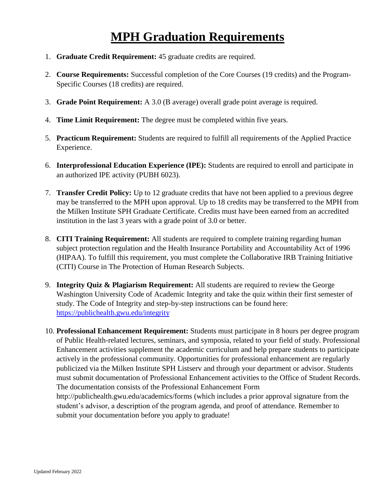# **MPH Graduation Requirements**

- 1. **Graduate Credit Requirement:** 45 graduate credits are required.
- 2. **Course Requirements:** Successful completion of the Core Courses (19 credits) and the Program-Specific Courses (18 credits) are required.
- 3. **Grade Point Requirement:** A 3.0 (B average) overall grade point average is required.
- 4. **Time Limit Requirement:** The degree must be completed within five years.
- 5. **Practicum Requirement:** Students are required to fulfill all requirements of the Applied Practice Experience.
- 6. **Interprofessional Education Experience (IPE):** Students are required to enroll and participate in an authorized IPE activity (PUBH 6023).
- 7. **Transfer Credit Policy:** Up to 12 graduate credits that have not been applied to a previous degree may be transferred to the MPH upon approval. Up to 18 credits may be transferred to the MPH from the Milken Institute SPH Graduate Certificate. Credits must have been earned from an accredited institution in the last 3 years with a grade point of 3.0 or better.
- 8. **CITI Training Requirement:** All students are required to complete training regarding human subject protection regulation and the Health Insurance Portability and Accountability Act of 1996 (HIPAA). To fulfill this requirement, you must complete the Collaborative IRB Training Initiative (CITI) Course in The Protection of Human Research Subjects.
- 9. **Integrity Quiz & Plagiarism Requirement:** All students are required to review the George Washington University Code of Academic Integrity and take the quiz within their first semester of study. The Code of Integrity and step-by-step instructions can be found here: <https://publichealth.gwu.edu/integrity>
- 10. **Professional Enhancement Requirement:** Students must participate in 8 hours per degree program of Public Health-related lectures, seminars, and symposia, related to your field of study. Professional Enhancement activities supplement the academic curriculum and help prepare students to participate actively in the professional community. Opportunities for professional enhancement are regularly publicized via the Milken Institute SPH Listserv and through your department or advisor. Students must submit documentation of Professional Enhancement activities to the Office of Student Records. The documentation consists of the Professional Enhancement Form http://publichealth.gwu.edu/academics/forms (which includes a prior approval signature from the student's advisor, a description of the program agenda, and proof of attendance. Remember to submit your documentation before you apply to graduate!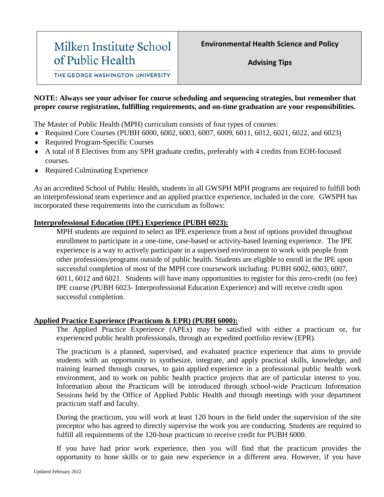# Milken Institute School of Public Health

THE GEORGE WASHINGTON UNIVERSITY

## **NOTE: Always see your advisor for course scheduling and sequencing strategies, but remember that proper course registration, fulfilling requirements, and on-time graduation are your responsibilities.**

The Master of Public Health (MPH) curriculum consists of four types of courses:

- Required Core Courses (PUBH 6000, 6002, 6003, 6007, 6009, 6011, 6012, 6021, 6022, and 6023)
- Required Program-Specific Courses
- A total of 8 Electives from any SPH graduate credits, preferably with 4 credits from EOH-focused courses.
- ◆ Required Culminating Experience

As an accredited School of Public Health, students in all GWSPH MPH programs are required to fulfill both an interprofessional team experience and an applied practice experience, included in the core. GWSPH has incorporated these requirements into the curriculum as follows:

## **Interprofessional Education (IPE) Experience (PUBH 6023):**

MPH students are required to select an IPE experience from a host of options provided throughout enrollment to participate in a one-time, case-based or activity-based learning experience. The IPE experience is a way to actively participate in a supervised environment to work with people from other professions/programs outside of public health. Students are eligible to enroll in the IPE upon successful completion of most of the MPH core coursework including: PUBH 6002, 6003, 6007, 6011, 6012 and 6021. Students will have many opportunities to register for this zero-credit (no fee) IPE course (PUBH 6023- Interprofessional Education Experience) and will receive credit upon successful completion.

## **Applied Practice Experience (Practicum & EPR) (PUBH 6000):**

The Applied Practice Experience (APEx) may be satisfied with either a practicum or, for experienced public health professionals, through an expedited portfolio review (EPR).

The practicum is a planned, supervised, and evaluated practice experience that aims to provide students with an opportunity to synthesize, integrate, and apply practical skills, knowledge, and training learned through courses, to gain applied experience in a professional public health work environment, and to work on public health practice projects that are of particular interest to you. Information about the Practicum will be introduced through school-wide Practicum Information Sessions held by the Office of Applied Public Health and through meetings with your department practicum staff and faculty.

During the practicum, you will work at least 120 hours in the field under the supervision of the site preceptor who has agreed to directly supervise the work you are conducting. Students are required to fulfill all requirements of the 120-hour practicum to receive credit for PUBH 6000.

If you have had prior work experience, then you will find that the practicum provides the opportunity to hone skills or to gain new experience in a different area. However, if you have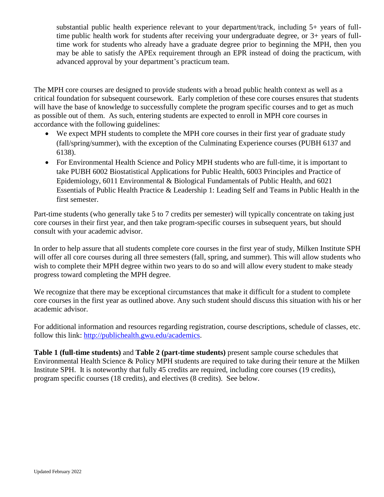substantial public health experience relevant to your department/track, including 5+ years of fulltime public health work for students after receiving your undergraduate degree, or 3+ years of fulltime work for students who already have a graduate degree prior to beginning the MPH, then you may be able to satisfy the APEx requirement through an EPR instead of doing the practicum, with advanced approval by your department's practicum team.

The MPH core courses are designed to provide students with a broad public health context as well as a critical foundation for subsequent coursework. Early completion of these core courses ensures that students will have the base of knowledge to successfully complete the program specific courses and to get as much as possible out of them. As such, entering students are expected to enroll in MPH core courses in accordance with the following guidelines:

- We expect MPH students to complete the MPH core courses in their first year of graduate study (fall/spring/summer), with the exception of the Culminating Experience courses (PUBH 6137 and 6138).
- For Environmental Health Science and Policy MPH students who are full-time, it is important to take PUBH 6002 Biostatistical Applications for Public Health, 6003 Principles and Practice of Epidemiology, 6011 Environmental & Biological Fundamentals of Public Health, and 6021 Essentials of Public Health Practice & Leadership 1: Leading Self and Teams in Public Health in the first semester.

Part-time students (who generally take 5 to 7 credits per semester) will typically concentrate on taking just core courses in their first year, and then take program-specific courses in subsequent years, but should consult with your academic advisor.

In order to help assure that all students complete core courses in the first year of study, Milken Institute SPH will offer all core courses during all three semesters (fall, spring, and summer). This will allow students who wish to complete their MPH degree within two years to do so and will allow every student to make steady progress toward completing the MPH degree.

We recognize that there may be exceptional circumstances that make it difficult for a student to complete core courses in the first year as outlined above. Any such student should discuss this situation with his or her academic advisor.

For additional information and resources regarding registration, course descriptions, schedule of classes, etc. follow this link: [http://publichealth.gwu.edu/academics.](http://publichealth.gwu.edu/academics)

**Table 1 (full-time students)** and **Table 2 (part-time students)** present sample course schedules that Environmental Health Science & Policy MPH students are required to take during their tenure at the Milken Institute SPH. It is noteworthy that fully 45 credits are required, including core courses (19 credits), program specific courses (18 credits), and electives (8 credits). See below.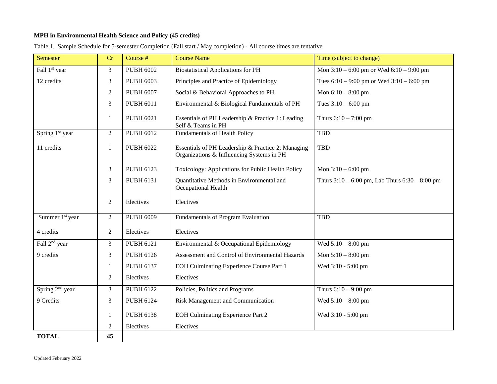#### **MPH in Environmental Health Science and Policy (45 credits)**

| Semester                    | Cr               | Course #         | <b>Course Name</b>                                                                              | Time (subject to change)                           |
|-----------------------------|------------------|------------------|-------------------------------------------------------------------------------------------------|----------------------------------------------------|
| Fall 1 <sup>st</sup> year   | 3                | <b>PUBH 6002</b> | <b>Biostatistical Applications for PH</b>                                                       | Mon $3:10 - 6:00$ pm or Wed $6:10 - 9:00$ pm       |
| 12 credits                  | 3                | <b>PUBH 6003</b> | Principles and Practice of Epidemiology                                                         | Tues $6:10 - 9:00$ pm or Wed $3:10 - 6:00$ pm      |
|                             | $\boldsymbol{2}$ | <b>PUBH 6007</b> | Social & Behavioral Approaches to PH                                                            | Mon $6:10 - 8:00$ pm                               |
|                             | 3                | <b>PUBH 6011</b> | Environmental & Biological Fundamentals of PH                                                   | Tues $3:10 - 6:00$ pm                              |
|                             | 1                | <b>PUBH 6021</b> | Essentials of PH Leadership & Practice 1: Leading<br>Self & Teams in PH                         | Thurs $6:10 - 7:00$ pm                             |
| Spring 1 <sup>st</sup> year | $\overline{2}$   | <b>PUBH 6012</b> | Fundamentals of Health Policy                                                                   | <b>TBD</b>                                         |
| 11 credits                  | $\mathbf{1}$     | <b>PUBH 6022</b> | Essentials of PH Leadership & Practice 2: Managing<br>Organizations & Influencing Systems in PH | <b>TBD</b>                                         |
|                             | 3                | <b>PUBH 6123</b> | Toxicology: Applications for Public Health Policy                                               | Mon $3:10 - 6:00$ pm                               |
|                             | 3                | <b>PUBH 6131</b> | Quantitative Methods in Environmental and<br>Occupational Health                                | Thurs $3:10 - 6:00$ pm, Lab Thurs $6:30 - 8:00$ pm |
|                             | 2                | Electives        | Electives                                                                                       |                                                    |
| Summer 1 <sup>st</sup> year | $\overline{2}$   | <b>PUBH 6009</b> | Fundamentals of Program Evaluation                                                              | <b>TBD</b>                                         |
| 4 credits                   | $\overline{2}$   | Electives        | Electives                                                                                       |                                                    |
| Fall 2 <sup>nd</sup> year   | 3                | <b>PUBH 6121</b> | Environmental & Occupational Epidemiology                                                       | Wed $5:10 - 8:00$ pm                               |
| 9 credits                   | 3                | <b>PUBH 6126</b> | Assessment and Control of Environmental Hazards                                                 | Mon $5:10 - 8:00$ pm                               |
|                             | 1                | PUBH 6137        | EOH Culminating Experience Course Part 1                                                        | Wed 3:10 - 5:00 pm                                 |
|                             | 2                | Electives        | Electives                                                                                       |                                                    |
| Spring 2 <sup>nd</sup> year | 3                | <b>PUBH 6122</b> | Policies, Politics and Programs                                                                 | Thurs $6:10 - 9:00$ pm                             |
| 9 Credits                   | 3                | <b>PUBH 6124</b> | Risk Management and Communication                                                               | Wed $5:10 - 8:00$ pm                               |
|                             | $\mathbf{1}$     | <b>PUBH 6138</b> | <b>EOH Culminating Experience Part 2</b>                                                        | Wed 3:10 - 5:00 pm                                 |
|                             | 2                | Electives        | Electives                                                                                       |                                                    |
| <b>TOTAL</b>                | 45               |                  |                                                                                                 |                                                    |

Table 1. Sample Schedule for 5-semester Completion (Fall start / May completion) - All course times are tentative

Updated February 2022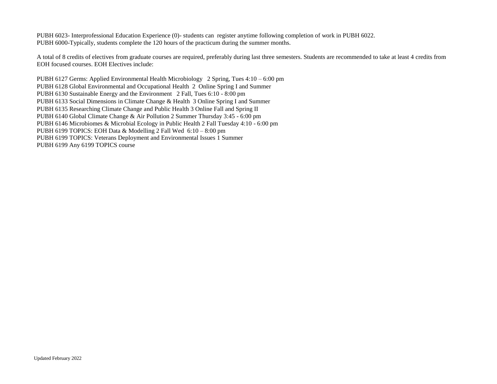PUBH 6023- Interprofessional Education Experience (0)- students can register anytime following completion of work in PUBH 6022. PUBH 6000-Typically, students complete the 120 hours of the practicum during the summer months.

A total of 8 credits of electives from graduate courses are required, preferably during last three semesters. Students are recommended to take at least 4 credits from EOH focused courses. EOH Electives include:

PUBH 6127 Germs: Applied Environmental Health Microbiology 2 Spring, Tues 4:10 – 6:00 pm PUBH 6128 Global Environmental and Occupational Health 2 Online Spring I and Summer PUBH 6130 Sustainable Energy and the Environment 2 Fall, Tues 6:10 - 8:00 pm PUBH 6133 Social Dimensions in Climate Change & Health 3 Online Spring I and Summer PUBH 6135 Researching Climate Change and Public Health 3 Online Fall and Spring II PUBH 6140 Global Climate Change & Air Pollution 2 Summer Thursday 3:45 - 6:00 pm PUBH 6146 Microbiomes & Microbial Ecology in Public Health 2 Fall Tuesday 4:10 - 6:00 pm PUBH 6199 TOPICS: EOH Data & Modelling 2 Fall Wed 6:10 – 8:00 pm PUBH 6199 TOPICS: Veterans Deployment and Environmental Issues 1 Summer PUBH 6199 Any 6199 TOPICS course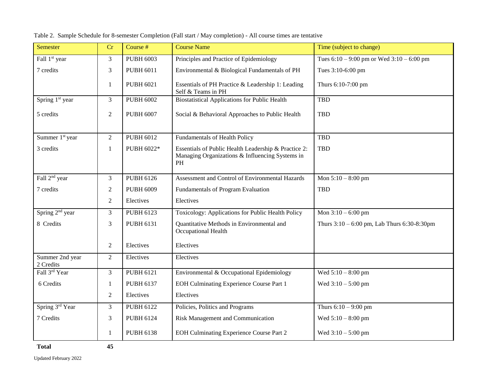| Semester                     | Cr             | Course #         | <b>Course Name</b>                                                                                                       | Time (subject to change)                         |
|------------------------------|----------------|------------------|--------------------------------------------------------------------------------------------------------------------------|--------------------------------------------------|
| Fall 1 <sup>st</sup> year    | 3              | <b>PUBH 6003</b> | Principles and Practice of Epidemiology                                                                                  | Tues $6:10 - 9:00$ pm or Wed $3:10 - 6:00$ pm    |
| 7 credits                    | $\mathfrak{Z}$ | <b>PUBH 6011</b> | Environmental & Biological Fundamentals of PH                                                                            | Tues 3:10-6:00 pm                                |
|                              | $\mathbf{1}$   | <b>PUBH 6021</b> | Essentials of PH Practice & Leadership 1: Leading<br>Self & Teams in PH                                                  | Thurs 6:10-7:00 pm                               |
| Spring 1 <sup>st</sup> year  | $\mathfrak{Z}$ | <b>PUBH 6002</b> | <b>Biostatistical Applications for Public Health</b>                                                                     | <b>TBD</b>                                       |
| 5 credits                    | $\sqrt{2}$     | <b>PUBH 6007</b> | Social & Behavioral Approaches to Public Health                                                                          | <b>TBD</b>                                       |
| Summer 1 <sup>st</sup> year  | $\overline{2}$ | <b>PUBH 6012</b> | <b>Fundamentals of Health Policy</b>                                                                                     | <b>TBD</b>                                       |
| 3 credits                    | 1              | PUBH 6022*       | Essentials of Public Health Leadership & Practice 2:<br>Managing Organizations & Influencing Systems in<br>$\mathbf{PH}$ | <b>TBD</b>                                       |
| Fall 2 <sup>nd</sup> year    | $\mathfrak{Z}$ | <b>PUBH 6126</b> | Assessment and Control of Environmental Hazards                                                                          | Mon $5:10 - 8:00$ pm                             |
| 7 credits                    | $\overline{2}$ | <b>PUBH 6009</b> | Fundamentals of Program Evaluation                                                                                       | <b>TBD</b>                                       |
|                              | 2              | Electives        | Electives                                                                                                                |                                                  |
| Spring 2 <sup>nd</sup> year  | 3              | <b>PUBH 6123</b> | Toxicology: Applications for Public Health Policy                                                                        | Mon $3:10 - 6:00$ pm                             |
| 8 Credits                    | 3              | <b>PUBH 6131</b> | Quantitative Methods in Environmental and<br>Occupational Health                                                         | Thurs $3:10 - 6:00$ pm, Lab Thurs $6:30-8:30$ pm |
|                              | 2              | Electives        | Electives                                                                                                                |                                                  |
| Summer 2nd year<br>2 Credits | 2              | Electives        | Electives                                                                                                                |                                                  |
| Fall 3rd Year                | $\overline{3}$ | <b>PUBH 6121</b> | Environmental & Occupational Epidemiology                                                                                | Wed $5:10 - 8:00$ pm                             |
| 6 Credits                    | 1              | <b>PUBH 6137</b> | <b>EOH Culminating Experience Course Part 1</b>                                                                          | Wed $3:10 - 5:00$ pm                             |
|                              | $\overline{2}$ | Electives        | Electives                                                                                                                |                                                  |
| Spring 3rd Year              | $\mathfrak{Z}$ | <b>PUBH 6122</b> | Policies, Politics and Programs                                                                                          | Thurs $6:10 - 9:00$ pm                           |
| 7 Credits                    | 3              | <b>PUBH 6124</b> | Risk Management and Communication                                                                                        | Wed $5:10 - 8:00$ pm                             |
|                              | 1              | <b>PUBH 6138</b> | EOH Culminating Experience Course Part 2                                                                                 | Wed $3:10 - 5:00$ pm                             |
| <b>Total</b>                 | 45             |                  |                                                                                                                          |                                                  |

Table 2. Sample Schedule for 8-semester Completion (Fall start / May completion) - All course times are tentative

Updated February 2022